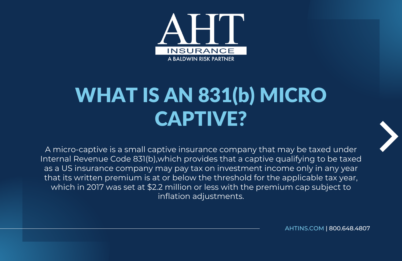

## WHAT IS AN 831(b) MICRO CAPTIVE?

A micro-captive is a small captive insurance company that may be taxed under Internal Revenue Code 831(b),which provides that a captive qualifying to be taxed as a US insurance company may pay tax on investment income only in any year that its written premium is at or below the threshold for the applicable tax year, which in 2017 was set at \$2.2 million or less with the premium cap subject to inflation adjustments.

[AHTINS.COM](https://www.ahtins.com/captive/) | 800.648.4807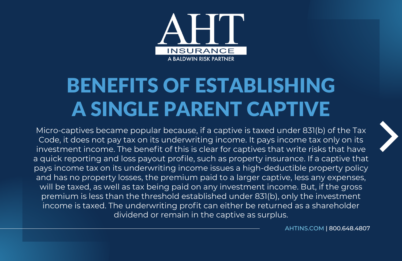

## BENEFITS OF ESTABLISHING A SINGLE PARENT CAPTIVE

Micro-captives became popular because, if a captive is taxed under 831(b) of the Tax Code, it does not pay tax on its underwriting income. It pays income tax only on its investment income. The benefit of this is clear for captives that write risks that have a quick reporting and loss payout profile, such as property insurance. If a captive that pays income tax on its underwriting income issues a high-deductible property policy and has no property losses, the premium paid to a larger captive, less any expenses, will be taxed, as well as tax being paid on any investment income. But, if the gross premium is less than the threshold established under 831(b), only the investment income is taxed. The underwriting profit can either be returned as a shareholder dividend or remain in the captive as surplus.

[AHTINS.COM](https://www.ahtins.com/captive/) | 800.648.4807